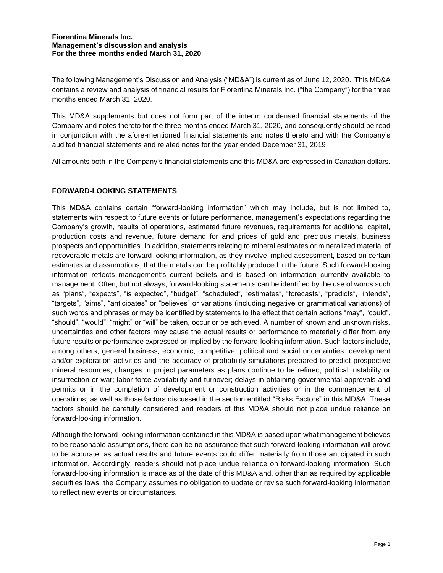The following Management's Discussion and Analysis ("MD&A") is current as of June 12, 2020. This MD&A contains a review and analysis of financial results for Fiorentina Minerals Inc. ("the Company") for the three months ended March 31, 2020.

This MD&A supplements but does not form part of the interim condensed financial statements of the Company and notes thereto for the three months ended March 31, 2020, and consequently should be read in conjunction with the afore-mentioned financial statements and notes thereto and with the Company's audited financial statements and related notes for the year ended December 31, 2019.

All amounts both in the Company's financial statements and this MD&A are expressed in Canadian dollars.

# **FORWARD-LOOKING STATEMENTS**

This MD&A contains certain "forward-looking information" which may include, but is not limited to, statements with respect to future events or future performance, management's expectations regarding the Company's growth, results of operations, estimated future revenues, requirements for additional capital, production costs and revenue, future demand for and prices of gold and precious metals, business prospects and opportunities. In addition, statements relating to mineral estimates or mineralized material of recoverable metals are forward-looking information, as they involve implied assessment, based on certain estimates and assumptions, that the metals can be profitably produced in the future. Such forward-looking information reflects management's current beliefs and is based on information currently available to management. Often, but not always, forward-looking statements can be identified by the use of words such as "plans", "expects", "is expected", "budget", "scheduled", "estimates", "forecasts", "predicts", "intends", "targets", "aims", "anticipates" or "believes" or variations (including negative or grammatical variations) of such words and phrases or may be identified by statements to the effect that certain actions "may", "could", "should", "would", "might" or "will" be taken, occur or be achieved. A number of known and unknown risks, uncertainties and other factors may cause the actual results or performance to materially differ from any future results or performance expressed or implied by the forward-looking information. Such factors include, among others, general business, economic, competitive, political and social uncertainties; development and/or exploration activities and the accuracy of probability simulations prepared to predict prospective mineral resources; changes in project parameters as plans continue to be refined; political instability or insurrection or war; labor force availability and turnover; delays in obtaining governmental approvals and permits or in the completion of development or construction activities or in the commencement of operations; as well as those factors discussed in the section entitled "Risks Factors" in this MD&A. These factors should be carefully considered and readers of this MD&A should not place undue reliance on forward-looking information.

Although the forward-looking information contained in this MD&A is based upon what management believes to be reasonable assumptions, there can be no assurance that such forward-looking information will prove to be accurate, as actual results and future events could differ materially from those anticipated in such information. Accordingly, readers should not place undue reliance on forward-looking information. Such forward-looking information is made as of the date of this MD&A and, other than as required by applicable securities laws, the Company assumes no obligation to update or revise such forward-looking information to reflect new events or circumstances.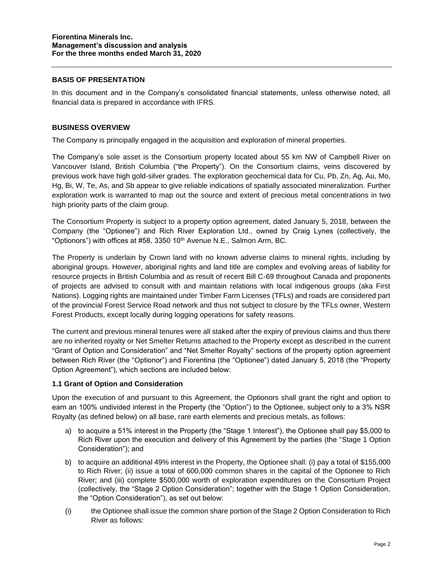### **BASIS OF PRESENTATION**

In this document and in the Company's consolidated financial statements, unless otherwise noted, all financial data is prepared in accordance with IFRS.

### **BUSINESS OVERVIEW**

The Company is principally engaged in the acquisition and exploration of mineral properties.

The Company's sole asset is the Consortium property located about 55 km NW of Campbell River on Vancouver Island, British Columbia ("the Property"). On the Consortium claims, veins discovered by previous work have high gold-silver grades. The exploration geochemical data for Cu, Pb, Zn, Ag, Au, Mo, Hg, Bi, W, Te, As, and Sb appear to give reliable indications of spatially associated mineralization. Further exploration work is warranted to map out the source and extent of precious metal concentrations in two high priority parts of the claim group.

The Consortium Property is subject to a property option agreement, dated January 5, 2018, between the Company (the "Optionee") and Rich River Exploration Ltd., owned by Craig Lynes (collectively, the "Optionors") with offices at #58, 3350 10<sup>th</sup> Avenue N.E., Salmon Arm, BC.

The Property is underlain by Crown land with no known adverse claims to mineral rights, including by aboriginal groups. However, aboriginal rights and land title are complex and evolving areas of liability for resource projects in British Columbia and as result of recent Bill C-69 throughout Canada and proponents of projects are advised to consult with and maintain relations with local indigenous groups (aka First Nations). Logging rights are maintained under Timber Farm Licenses (TFLs) and roads are considered part of the provincial Forest Service Road network and thus not subject to closure by the TFLs owner, Western Forest Products, except locally during logging operations for safety reasons.

The current and previous mineral tenures were all staked after the expiry of previous claims and thus there are no inherited royalty or Net Smelter Returns attached to the Property except as described in the current "Grant of Option and Consideration" and "Net Smelter Royalty" sections of the property option agreement between Rich River (the "Optionor") and Fiorentina (the "Optionee") dated January 5, 2018 (the "Property Option Agreement"), which sections are included below:

#### **1.1 Grant of Option and Consideration**

Upon the execution of and pursuant to this Agreement, the Optionors shall grant the right and option to earn an 100% undivided interest in the Property (the "Option") to the Optionee, subject only to a 3% NSR Royalty (as defined below) on all base, rare earth elements and precious metals, as follows:

- a) to acquire a 51% interest in the Property (the "Stage 1 Interest"), the Optionee shall pay \$5,000 to Rich River upon the execution and delivery of this Agreement by the parties (the "Stage 1 Option Consideration"); and
- b) to acquire an additional 49% interest in the Property, the Optionee shall: (i) pay a total of \$155,000 to Rich River; (ii) issue a total of 600,000 common shares in the capital of the Optionee to Rich River; and (iii) complete \$500,000 worth of exploration expenditures on the Consortium Project (collectively, the "Stage 2 Option Consideration"; together with the Stage 1 Option Consideration, the "Option Consideration"), as set out below:
- (i) the Optionee shall issue the common share portion of the Stage 2 Option Consideration to Rich River as follows: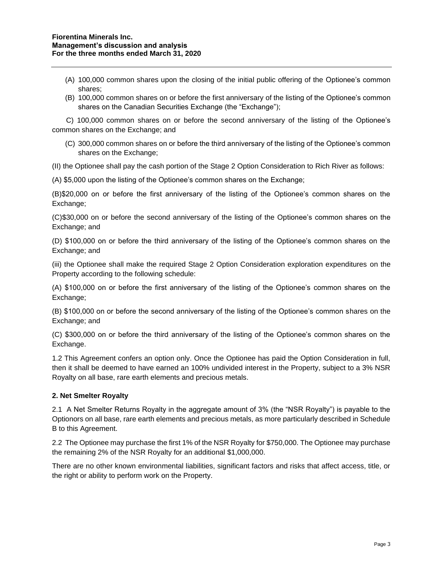- (A) 100,000 common shares upon the closing of the initial public offering of the Optionee's common shares;
- (B) 100,000 common shares on or before the first anniversary of the listing of the Optionee's common shares on the Canadian Securities Exchange (the "Exchange");

 C) 100,000 common shares on or before the second anniversary of the listing of the Optionee's common shares on the Exchange; and

(C) 300,000 common shares on or before the third anniversary of the listing of the Optionee's common shares on the Exchange;

(II) the Optionee shall pay the cash portion of the Stage 2 Option Consideration to Rich River as follows:

(A) \$5,000 upon the listing of the Optionee's common shares on the Exchange;

(B)\$20,000 on or before the first anniversary of the listing of the Optionee's common shares on the Exchange;

(C)\$30,000 on or before the second anniversary of the listing of the Optionee's common shares on the Exchange; and

(D) \$100,000 on or before the third anniversary of the listing of the Optionee's common shares on the Exchange; and

(iii) the Optionee shall make the required Stage 2 Option Consideration exploration expenditures on the Property according to the following schedule:

(A) \$100,000 on or before the first anniversary of the listing of the Optionee's common shares on the Exchange;

(B) \$100,000 on or before the second anniversary of the listing of the Optionee's common shares on the Exchange; and

(C) \$300,000 on or before the third anniversary of the listing of the Optionee's common shares on the Exchange.

1.2 This Agreement confers an option only. Once the Optionee has paid the Option Consideration in full, then it shall be deemed to have earned an 100% undivided interest in the Property, subject to a 3% NSR Royalty on all base, rare earth elements and precious metals.

#### **2. Net Smelter Royalty**

2.1 A Net Smelter Returns Royalty in the aggregate amount of 3% (the "NSR Royalty") is payable to the Optionors on all base, rare earth elements and precious metals, as more particularly described in Schedule B to this Agreement.

2.2 The Optionee may purchase the first 1% of the NSR Royalty for \$750,000. The Optionee may purchase the remaining 2% of the NSR Royalty for an additional \$1,000,000.

There are no other known environmental liabilities, significant factors and risks that affect access, title, or the right or ability to perform work on the Property.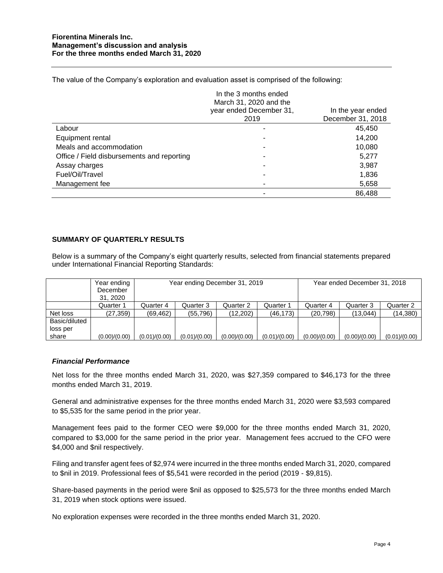The value of the Company's exploration and evaluation asset is comprised of the following:

|                                            | In the 3 months ended<br>March 31, 2020 and the |                   |
|--------------------------------------------|-------------------------------------------------|-------------------|
|                                            | year ended December 31,                         | In the year ended |
|                                            | 2019                                            | December 31, 2018 |
| Labour                                     |                                                 | 45,450            |
| Equipment rental                           |                                                 | 14,200            |
| Meals and accommodation                    |                                                 | 10,080            |
| Office / Field disbursements and reporting |                                                 | 5,277             |
| Assay charges                              |                                                 | 3,987             |
| Fuel/Oil/Travel                            |                                                 | 1,836             |
| Management fee                             |                                                 | 5,658             |
|                                            |                                                 | 86,488            |

## **SUMMARY OF QUARTERLY RESULTS**

Below is a summary of the Company's eight quarterly results, selected from financial statements prepared under International Financial Reporting Standards:

|               | Year ending   | Year ending December 31, 2019 |               |               |               | Year ended December 31, 2018 |               |               |
|---------------|---------------|-------------------------------|---------------|---------------|---------------|------------------------------|---------------|---------------|
|               | December      |                               |               |               |               |                              |               |               |
|               | 31, 2020      |                               |               |               |               |                              |               |               |
|               | Quarter 1     | Quarter 4                     | Quarter 3     | Quarter 2     | Quarter 1     | Quarter 4                    | Quarter 3     | Quarter 2     |
| Net loss      | (27, 359)     | (69, 462)                     | (55, 796)     | (12,202)      | (46, 173)     | (20, 798)                    | (13,044)      | (14, 380)     |
| Basic/diluted |               |                               |               |               |               |                              |               |               |
| loss per      |               |                               |               |               |               |                              |               |               |
| share         | (0.00)/(0.00) | (0.01)/(0.00)                 | (0.01)/(0.00) | (0.00)/(0.00) | (0.01)/(0.00) | (0.00)/(0.00)                | (0.00)/(0.00) | (0.01)/(0.00) |

#### *Financial Performance*

Net loss for the three months ended March 31, 2020, was \$27,359 compared to \$46,173 for the three months ended March 31, 2019.

General and administrative expenses for the three months ended March 31, 2020 were \$3,593 compared to \$5,535 for the same period in the prior year.

Management fees paid to the former CEO were \$9,000 for the three months ended March 31, 2020, compared to \$3,000 for the same period in the prior year. Management fees accrued to the CFO were \$4,000 and \$nil respectively.

Filing and transfer agent fees of \$2,974 were incurred in the three months ended March 31, 2020, compared to \$nil in 2019. Professional fees of \$5,541 were recorded in the period (2019 - \$9,815).

Share-based payments in the period were \$nil as opposed to \$25,573 for the three months ended March 31, 2019 when stock options were issued.

No exploration expenses were recorded in the three months ended March 31, 2020.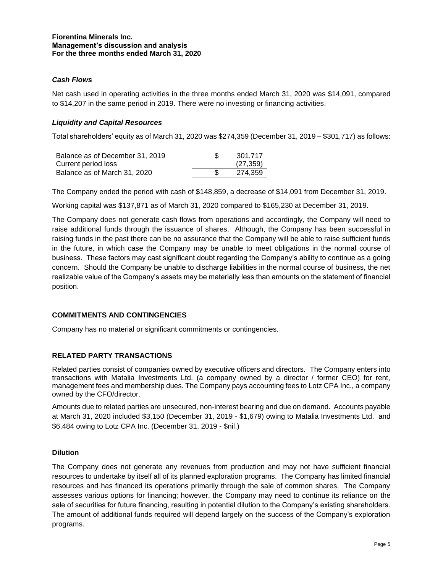### *Cash Flows*

Net cash used in operating activities in the three months ended March 31, 2020 was \$14,091, compared to \$14,207 in the same period in 2019. There were no investing or financing activities.

### *Liquidity and Capital Resources*

Total shareholders' equity as of March 31, 2020 was \$274,359 (December 31, 2019 – \$301,717) as follows:

| Balance as of December 31, 2019 | 301.717   |
|---------------------------------|-----------|
| Current period loss             | (27, 359) |
| Balance as of March 31, 2020    | 274.359   |

The Company ended the period with cash of \$148,859, a decrease of \$14,091 from December 31, 2019.

Working capital was \$137,871 as of March 31, 2020 compared to \$165,230 at December 31, 2019.

The Company does not generate cash flows from operations and accordingly, the Company will need to raise additional funds through the issuance of shares. Although, the Company has been successful in raising funds in the past there can be no assurance that the Company will be able to raise sufficient funds in the future, in which case the Company may be unable to meet obligations in the normal course of business. These factors may cast significant doubt regarding the Company's ability to continue as a going concern. Should the Company be unable to discharge liabilities in the normal course of business, the net realizable value of the Company's assets may be materially less than amounts on the statement of financial position.

#### **COMMITMENTS AND CONTINGENCIES**

Company has no material or significant commitments or contingencies.

#### **RELATED PARTY TRANSACTIONS**

Related parties consist of companies owned by executive officers and directors. The Company enters into transactions with Matalia Investments Ltd. (a company owned by a director / former CEO) for rent, management fees and membership dues. The Company pays accounting fees to Lotz CPA Inc., a company owned by the CFO/director.

Amounts due to related parties are unsecured, non-interest bearing and due on demand. Accounts payable at March 31, 2020 included \$3,150 (December 31, 2019 - \$1,679) owing to Matalia Investments Ltd. and \$6,484 owing to Lotz CPA Inc. (December 31, 2019 - \$nil.)

#### **Dilution**

The Company does not generate any revenues from production and may not have sufficient financial resources to undertake by itself all of its planned exploration programs. The Company has limited financial resources and has financed its operations primarily through the sale of common shares. The Company assesses various options for financing; however, the Company may need to continue its reliance on the sale of securities for future financing, resulting in potential dilution to the Company's existing shareholders. The amount of additional funds required will depend largely on the success of the Company's exploration programs.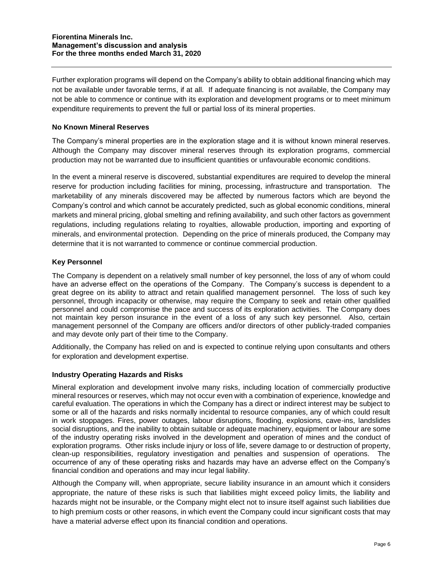Further exploration programs will depend on the Company's ability to obtain additional financing which may not be available under favorable terms, if at all. If adequate financing is not available, the Company may not be able to commence or continue with its exploration and development programs or to meet minimum expenditure requirements to prevent the full or partial loss of its mineral properties.

## **No Known Mineral Reserves**

The Company's mineral properties are in the exploration stage and it is without known mineral reserves. Although the Company may discover mineral reserves through its exploration programs, commercial production may not be warranted due to insufficient quantities or unfavourable economic conditions.

In the event a mineral reserve is discovered, substantial expenditures are required to develop the mineral reserve for production including facilities for mining, processing, infrastructure and transportation. The marketability of any minerals discovered may be affected by numerous factors which are beyond the Company's control and which cannot be accurately predicted, such as global economic conditions, mineral markets and mineral pricing, global smelting and refining availability, and such other factors as government regulations, including regulations relating to royalties, allowable production, importing and exporting of minerals, and environmental protection. Depending on the price of minerals produced, the Company may determine that it is not warranted to commence or continue commercial production.

## **Key Personnel**

The Company is dependent on a relatively small number of key personnel, the loss of any of whom could have an adverse effect on the operations of the Company. The Company's success is dependent to a great degree on its ability to attract and retain qualified management personnel. The loss of such key personnel, through incapacity or otherwise, may require the Company to seek and retain other qualified personnel and could compromise the pace and success of its exploration activities. The Company does not maintain key person insurance in the event of a loss of any such key personnel. Also, certain management personnel of the Company are officers and/or directors of other publicly-traded companies and may devote only part of their time to the Company.

Additionally, the Company has relied on and is expected to continue relying upon consultants and others for exploration and development expertise.

## **Industry Operating Hazards and Risks**

Mineral exploration and development involve many risks, including location of commercially productive mineral resources or reserves, which may not occur even with a combination of experience, knowledge and careful evaluation. The operations in which the Company has a direct or indirect interest may be subject to some or all of the hazards and risks normally incidental to resource companies, any of which could result in work stoppages. Fires, power outages, labour disruptions, flooding, explosions, cave-ins, landslides social disruptions, and the inability to obtain suitable or adequate machinery, equipment or labour are some of the industry operating risks involved in the development and operation of mines and the conduct of exploration programs. Other risks include injury or loss of life, severe damage to or destruction of property, clean-up responsibilities, regulatory investigation and penalties and suspension of operations. The occurrence of any of these operating risks and hazards may have an adverse effect on the Company's financial condition and operations and may incur legal liability.

Although the Company will, when appropriate, secure liability insurance in an amount which it considers appropriate, the nature of these risks is such that liabilities might exceed policy limits, the liability and hazards might not be insurable, or the Company might elect not to insure itself against such liabilities due to high premium costs or other reasons, in which event the Company could incur significant costs that may have a material adverse effect upon its financial condition and operations.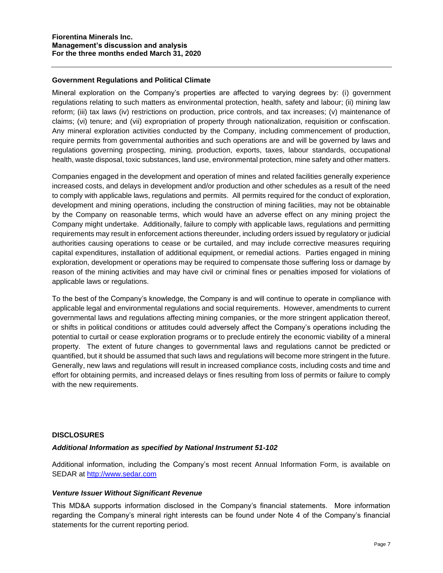### **Government Regulations and Political Climate**

Mineral exploration on the Company's properties are affected to varying degrees by: (i) government regulations relating to such matters as environmental protection, health, safety and labour; (ii) mining law reform; (iii) tax laws (iv) restrictions on production, price controls, and tax increases; (v) maintenance of claims; (vi) tenure; and (vii) expropriation of property through nationalization, requisition or confiscation. Any mineral exploration activities conducted by the Company, including commencement of production, require permits from governmental authorities and such operations are and will be governed by laws and regulations governing prospecting, mining, production, exports, taxes, labour standards, occupational health, waste disposal, toxic substances, land use, environmental protection, mine safety and other matters.

Companies engaged in the development and operation of mines and related facilities generally experience increased costs, and delays in development and/or production and other schedules as a result of the need to comply with applicable laws, regulations and permits. All permits required for the conduct of exploration, development and mining operations, including the construction of mining facilities, may not be obtainable by the Company on reasonable terms, which would have an adverse effect on any mining project the Company might undertake. Additionally, failure to comply with applicable laws, regulations and permitting requirements may result in enforcement actions thereunder, including orders issued by regulatory or judicial authorities causing operations to cease or be curtailed, and may include corrective measures requiring capital expenditures, installation of additional equipment, or remedial actions. Parties engaged in mining exploration, development or operations may be required to compensate those suffering loss or damage by reason of the mining activities and may have civil or criminal fines or penalties imposed for violations of applicable laws or regulations.

To the best of the Company's knowledge, the Company is and will continue to operate in compliance with applicable legal and environmental regulations and social requirements. However, amendments to current governmental laws and regulations affecting mining companies, or the more stringent application thereof, or shifts in political conditions or attitudes could adversely affect the Company's operations including the potential to curtail or cease exploration programs or to preclude entirely the economic viability of a mineral property. The extent of future changes to governmental laws and regulations cannot be predicted or quantified, but it should be assumed that such laws and regulations will become more stringent in the future. Generally, new laws and regulations will result in increased compliance costs, including costs and time and effort for obtaining permits, and increased delays or fines resulting from loss of permits or failure to comply with the new requirements.

#### **DISCLOSURES**

#### *Additional Information as specified by National Instrument 51-102*

Additional information, including the Company's most recent Annual Information Form, is available on SEDAR at [http://www.sedar.com](http://www.sedar.com/)

#### *Venture Issuer Without Significant Revenue*

This MD&A supports information disclosed in the Company's financial statements. More information regarding the Company's mineral right interests can be found under Note 4 of the Company's financial statements for the current reporting period.